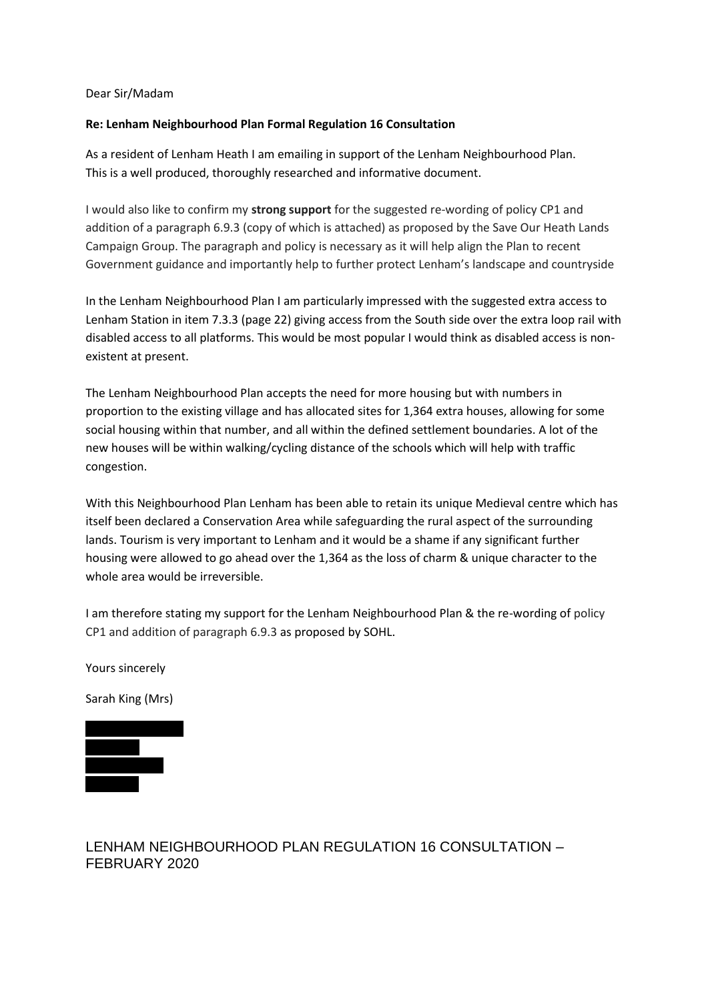#### Dear Sir/Madam

#### **Re: Lenham Neighbourhood Plan Formal Regulation 16 Consultation**

As a resident of Lenham Heath I am emailing in support of the Lenham Neighbourhood Plan. This is a well produced, thoroughly researched and informative document.

I would also like to confirm my **strong support** for the suggested re-wording of policy CP1 and addition of a paragraph 6.9.3 (copy of which is attached) as proposed by the Save Our Heath Lands Campaign Group. The paragraph and policy is necessary as it will help align the Plan to recent Government guidance and importantly help to further protect Lenham's landscape and countryside

In the Lenham Neighbourhood Plan I am particularly impressed with the suggested extra access to Lenham Station in item 7.3.3 (page 22) giving access from the South side over the extra loop rail with disabled access to all platforms. This would be most popular I would think as disabled access is nonexistent at present.

The Lenham Neighbourhood Plan accepts the need for more housing but with numbers in proportion to the existing village and has allocated sites for 1,364 extra houses, allowing for some social housing within that number, and all within the defined settlement boundaries. A lot of the new houses will be within walking/cycling distance of the schools which will help with traffic congestion.

With this Neighbourhood Plan Lenham has been able to retain its unique Medieval centre which has itself been declared a Conservation Area while safeguarding the rural aspect of the surrounding lands. Tourism is very important to Lenham and it would be a shame if any significant further housing were allowed to go ahead over the 1,364 as the loss of charm & unique character to the whole area would be irreversible.

I am therefore stating my support for the Lenham Neighbourhood Plan & the re-wording of policy CP1 and addition of paragraph 6.9.3 as proposed by SOHL.

Yours sincerely

Sarah King (Mrs)



# LENHAM NEIGHBOURHOOD PLAN REGULATION 16 CONSULTATION – FEBRUARY 2020